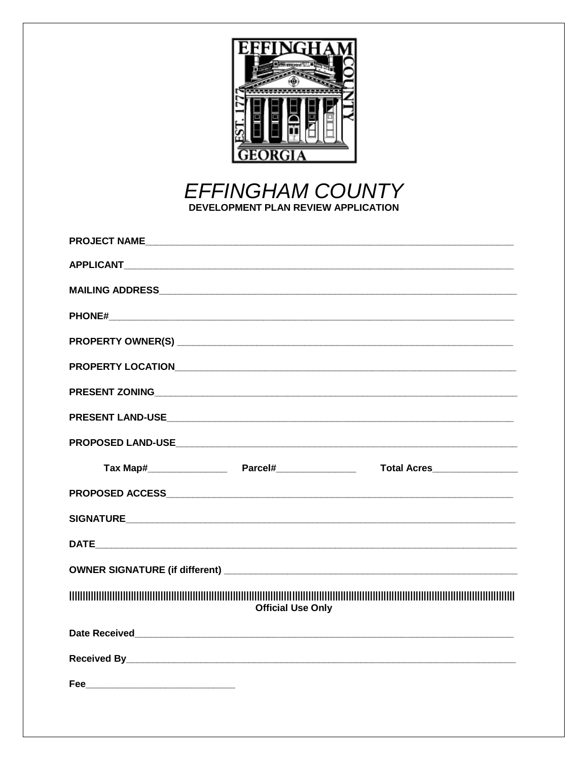

**EFFINGHAM COUNTY** DEVELOPMENT PLAN REVIEW APPLICATION

| PROJECT NAMELAND AND ANNOUNCED A SERIES AND A SERIES AND A SERIES AND A SERIES AND A SERIES AND A SERIES AND A |  |
|----------------------------------------------------------------------------------------------------------------|--|
| <b>APPLICANT</b> APPLICANT                                                                                     |  |
|                                                                                                                |  |
|                                                                                                                |  |
|                                                                                                                |  |
|                                                                                                                |  |
|                                                                                                                |  |
|                                                                                                                |  |
|                                                                                                                |  |
| Total Acres                                                                                                    |  |
|                                                                                                                |  |
|                                                                                                                |  |
|                                                                                                                |  |
|                                                                                                                |  |
| <b>Official Use Only</b>                                                                                       |  |
|                                                                                                                |  |
|                                                                                                                |  |
|                                                                                                                |  |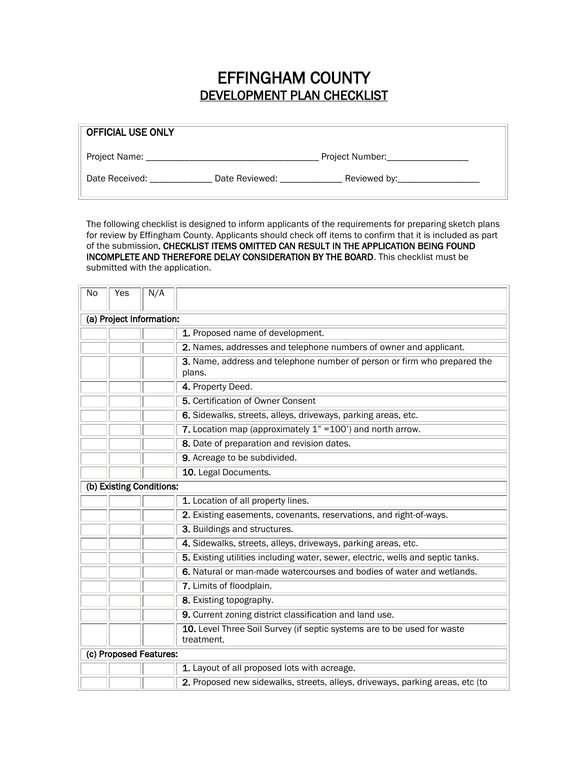## EFFINGHAM COUNTY DEVELOPMENT PLAN CHECKLIST

| <b>OFFICIAL USE ONLY</b> |                                |  |
|--------------------------|--------------------------------|--|
| Project Name: _          | Project Number:                |  |
| Date Received:           | Date Reviewed:<br>Reviewed by: |  |

The following checklist is designed to inform applicants of the requirements for preparing sketch plans for review by Effingham County. Applicants should check off items to confirm that it is included as part of the submission. CHECKLIST ITEMS OMITTED CAN RESULT IN THE APPLICATION BEING FOUND INCOMPLETE AND THEREFORE DELAY CONSIDERATION BY THE BOARD. This checklist must be submitted with the application.

| <b>No</b>                | Yes | N/A                      |                                                                                       |  |  |  |
|--------------------------|-----|--------------------------|---------------------------------------------------------------------------------------|--|--|--|
| (a) Project Information: |     |                          |                                                                                       |  |  |  |
|                          |     |                          | 1. Proposed name of development.                                                      |  |  |  |
|                          |     |                          | 2. Names, addresses and telephone numbers of owner and applicant.                     |  |  |  |
|                          |     |                          | 3. Name, address and telephone number of person or firm who prepared the<br>plans.    |  |  |  |
|                          |     |                          | 4. Property Deed.                                                                     |  |  |  |
|                          |     |                          | 5. Certification of Owner Consent                                                     |  |  |  |
|                          |     |                          | 6. Sidewalks, streets, alleys, driveways, parking areas, etc.                         |  |  |  |
|                          |     |                          | 7. Location map (approximately $1" = 100'$ ) and north arrow.                         |  |  |  |
|                          |     |                          | 8. Date of preparation and revision dates.                                            |  |  |  |
|                          |     |                          | 9. Acreage to be subdivided.                                                          |  |  |  |
|                          |     |                          | 10. Legal Documents.                                                                  |  |  |  |
|                          |     | (b) Existing Conditions: |                                                                                       |  |  |  |
|                          |     |                          | 1. Location of all property lines.                                                    |  |  |  |
|                          |     |                          | 2. Existing easements, covenants, reservations, and right-of-ways.                    |  |  |  |
|                          |     |                          | 3. Buildings and structures.                                                          |  |  |  |
|                          |     |                          | 4. Sidewalks, streets, alleys, driveways, parking areas, etc.                         |  |  |  |
|                          |     |                          | 5. Existing utilities including water, sewer, electric, wells and septic tanks.       |  |  |  |
|                          |     |                          | 6. Natural or man-made watercourses and bodies of water and wetlands.                 |  |  |  |
|                          |     |                          | 7. Limits of floodplain.                                                              |  |  |  |
|                          |     |                          | 8. Existing topography.                                                               |  |  |  |
|                          |     |                          | 9. Current zoning district classification and land use.                               |  |  |  |
|                          |     |                          | 10. Level Three Soil Survey (if septic systems are to be used for waste<br>treatment. |  |  |  |
| (c) Proposed Features:   |     |                          |                                                                                       |  |  |  |
|                          |     |                          | 1. Layout of all proposed lots with acreage.                                          |  |  |  |
|                          |     |                          | 2. Proposed new sidewalks, streets, alleys, driveways, parking areas, etc (to         |  |  |  |